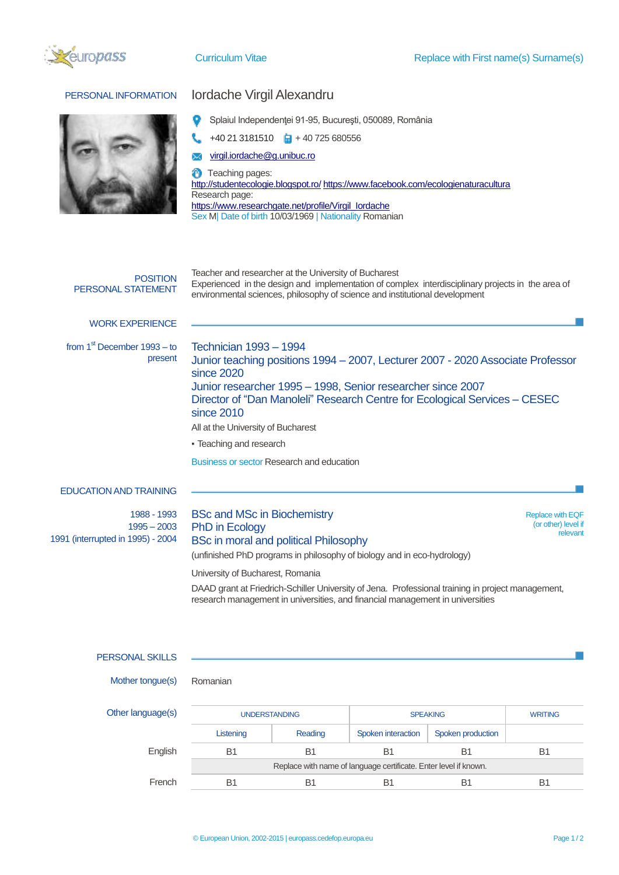



## PERSONAL INFORMATION **Iordache Virgil Alexandru**

- Splaiul Independenţei 91-95, Bucureşti, 050089, România o
- $+40$  21 3181510  $\Box$  + 40 725 680556
- [virgil.iordache@g.unibuc.ro](mailto:virgil.iordache@g.unibuc.ro) X

Ø Teaching pages: <http://studentecologie.blogspot.ro/> <https://www.facebook.com/ecologienaturacultura> Research page: [https://www.researchgate.net/profile/Virgil\\_Iordache](https://www.researchgate.net/profile/Virgil_Iordache) Sex M| Date of birth 10/03/1969 | Nationality Romanian

| <b>POSITION</b><br>PERSONAL STATEMENT                             | Teacher and researcher at the University of Bucharest<br>Experienced in the design and implementation of complex interdisciplinary projects in the area of<br>environmental sciences, philosophy of science and institutional development                                                                                                                                                               |                                                            |
|-------------------------------------------------------------------|---------------------------------------------------------------------------------------------------------------------------------------------------------------------------------------------------------------------------------------------------------------------------------------------------------------------------------------------------------------------------------------------------------|------------------------------------------------------------|
| <b>WORK EXPERIENCE</b>                                            |                                                                                                                                                                                                                                                                                                                                                                                                         |                                                            |
| from $1st$ December $1993 -$ to<br>present                        | <b>Technician 1993 - 1994</b><br>Junior teaching positions 1994 - 2007, Lecturer 2007 - 2020 Associate Professor<br>since 2020<br>Junior researcher 1995 - 1998, Senior researcher since 2007<br>Director of "Dan Manoleli" Research Centre for Ecological Services - CESEC<br>since 2010<br>All at the University of Bucharest<br>• Teaching and research<br>Business or sector Research and education |                                                            |
| <b>EDUCATION AND TRAINING</b>                                     |                                                                                                                                                                                                                                                                                                                                                                                                         |                                                            |
| 1988 - 1993<br>$1995 - 2003$<br>1991 (interrupted in 1995) - 2004 | <b>BSc and MSc in Biochemistry</b><br>PhD in Ecology<br><b>BSc in moral and political Philosophy</b><br>(unfinished PhD programs in philosophy of biology and in eco-hydrology)<br>University of Bucharest, Romania                                                                                                                                                                                     | <b>Replace with EQF</b><br>(or other) level if<br>relevant |

DAAD grant at Friedrich-Schiller University of Jena. Professional training in project management, research management in universities, and financial management in universities

| PERSONAL SKILLS |
|-----------------|
|-----------------|

Mother tongue(s) Romanian

Other language(s) UNDERSTANDING SPEAKING SPEAKING WRITING Listening Reading Spoken interaction Spoken production English B1 B1 B1 B1 B1 B1 Replace with name of language certificate. Enter level if known. French B1 B1 B1 B1 B1 B1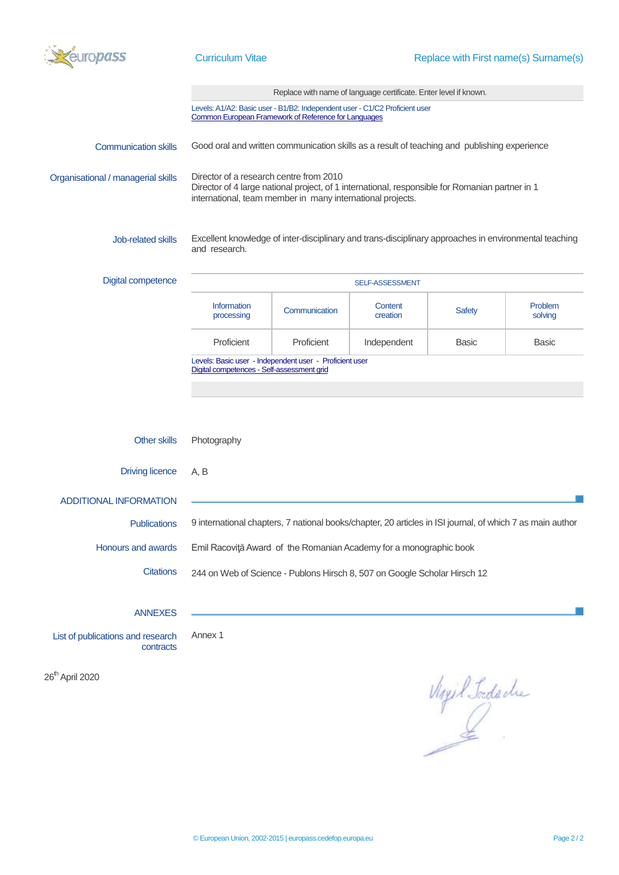

|                                                |                                                                                                                                     |               | Replace with name of language certificate. Enter level if known.                                          |                |                    |
|------------------------------------------------|-------------------------------------------------------------------------------------------------------------------------------------|---------------|-----------------------------------------------------------------------------------------------------------|----------------|--------------------|
|                                                | Levels: A1/A2: Basic user - B1/B2: Independent user - C1/C2 Proficient user<br>Common European Framework of Reference for Languages |               |                                                                                                           |                |                    |
| <b>Communication skills</b>                    | Good oral and written communication skills as a result of teaching and publishing experience                                        |               |                                                                                                           |                |                    |
| Organisational / managerial skills             | Director of a research centre from 2010<br>international, team member in many international projects.                               |               | Director of 4 large national project, of 1 international, responsible for Romanian partner in 1           |                |                    |
| <b>Job-related skills</b>                      | and research.                                                                                                                       |               | Excellent knowledge of inter-disciplinary and trans-disciplinary approaches in environmental teaching     |                |                    |
| <b>Digital competence</b>                      |                                                                                                                                     |               | SELF-ASSESSMENT                                                                                           |                |                    |
|                                                | Information<br>processing                                                                                                           | Communication | Content<br>creation                                                                                       | <b>Safety</b>  | Problem<br>solving |
|                                                | Proficient                                                                                                                          | Proficient    | Independent                                                                                               | <b>Basic</b>   | <b>Basic</b>       |
|                                                | Levels: Basic user - Independent user - Proficient user<br>Digital competences - Self-assessment grid                               |               |                                                                                                           |                |                    |
| Other skills                                   | Photography                                                                                                                         |               |                                                                                                           |                |                    |
| <b>Driving licence</b>                         | A, B                                                                                                                                |               |                                                                                                           |                |                    |
| <b>ADDITIONAL INFORMATION</b>                  |                                                                                                                                     |               |                                                                                                           |                |                    |
| <b>Publications</b>                            |                                                                                                                                     |               | 9 international chapters, 7 national books/chapter, 20 articles in ISI journal, of which 7 as main author |                |                    |
| Honours and awards                             |                                                                                                                                     |               | Emil Racoviță Award of the Romanian Academy for a monographic book                                        |                |                    |
| <b>Citations</b>                               | 244 on Web of Science - Publons Hirsch 8, 507 on Google Scholar Hirsch 12                                                           |               |                                                                                                           |                |                    |
| <b>ANNEXES</b>                                 |                                                                                                                                     |               |                                                                                                           |                |                    |
| List of publications and research<br>contracts | Annex 1                                                                                                                             |               |                                                                                                           |                |                    |
| 26 <sup>th</sup> April 2020                    |                                                                                                                                     |               |                                                                                                           | Mayil Tordache |                    |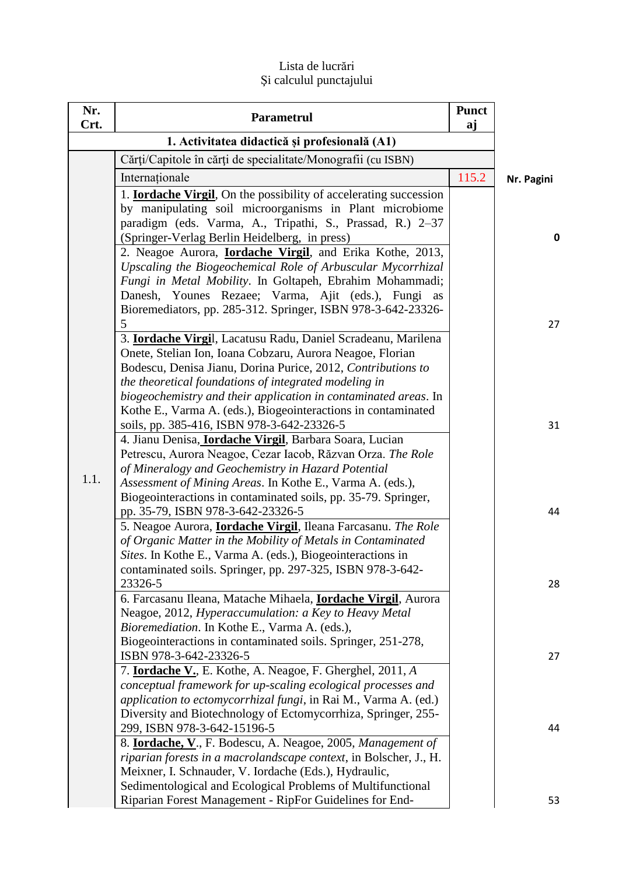## Lista de lucrări Şi calculul punctajului

| Nr.<br>Crt. | Parametrul                                                                                                                                                                                                                                                                                                                  | <b>Punct</b><br>aj |              |
|-------------|-----------------------------------------------------------------------------------------------------------------------------------------------------------------------------------------------------------------------------------------------------------------------------------------------------------------------------|--------------------|--------------|
|             | 1. Activitatea didactică și profesională (A1)                                                                                                                                                                                                                                                                               |                    |              |
|             | Cărți/Capitole în cărți de specialitate/Monografii (cu ISBN)                                                                                                                                                                                                                                                                |                    |              |
|             | Internaționale                                                                                                                                                                                                                                                                                                              | 115.2              | Nr. Pagini   |
|             | 1. <b>Iordache Virgil</b> , On the possibility of accelerating succession<br>by manipulating soil microorganisms in Plant microbiome<br>paradigm (eds. Varma, A., Tripathi, S., Prassad, R.) 2-37<br>(Springer-Verlag Berlin Heidelberg, in press)                                                                          |                    | $\mathbf{0}$ |
|             | 2. Neagoe Aurora, <b>Iordache Virgil</b> , and Erika Kothe, 2013,<br>Upscaling the Biogeochemical Role of Arbuscular Mycorrhizal<br>Fungi in Metal Mobility. In Goltapeh, Ebrahim Mohammadi;<br>Danesh, Younes Rezaee; Varma, Ajit (eds.), Fungi as<br>Bioremediators, pp. 285-312. Springer, ISBN 978-3-642-23326-         |                    |              |
|             | 5<br>3. Iordache Virgil, Lacatusu Radu, Daniel Scradeanu, Marilena<br>Onete, Stelian Ion, Ioana Cobzaru, Aurora Neagoe, Florian<br>Bodescu, Denisa Jianu, Dorina Purice, 2012, Contributions to<br>the theoretical foundations of integrated modeling in<br>biogeochemistry and their application in contaminated areas. In |                    | 27           |
| 1.1.        | Kothe E., Varma A. (eds.), Biogeointeractions in contaminated<br>soils, pp. 385-416, ISBN 978-3-642-23326-5<br>4. Jianu Denisa, <b>Iordache Virgil</b> , Barbara Soara, Lucian<br>Petrescu, Aurora Neagoe, Cezar Iacob, Răzvan Orza. The Role<br>of Mineralogy and Geochemistry in Hazard Potential                         |                    | 31           |
|             | Assessment of Mining Areas. In Kothe E., Varma A. (eds.),<br>Biogeointeractions in contaminated soils, pp. 35-79. Springer,<br>pp. 35-79, ISBN 978-3-642-23326-5<br>5. Neagoe Aurora, <i>Iordache Virgil</i> , Ileana Farcasanu. The Role<br>of Organic Matter in the Mobility of Metals in Contaminated                    |                    | 44           |
|             | Sites. In Kothe E., Varma A. (eds.), Biogeointeractions in<br>contaminated soils. Springer, pp. 297-325, ISBN 978-3-642-<br>23326-5<br>6. Farcasanu Ileana, Matache Mihaela, Iordache Virgil, Aurora<br>Neagoe, 2012, Hyperaccumulation: a Key to Heavy Metal                                                               |                    | 28           |
|             | Bioremediation. In Kothe E., Varma A. (eds.),<br>Biogeointeractions in contaminated soils. Springer, 251-278,<br>ISBN 978-3-642-23326-5<br>7. <b>Iordache V.</b> , E. Kothe, A. Neagoe, F. Gherghel, 2011, A.<br>conceptual framework for up-scaling ecological processes and                                               |                    | 27           |
|             | application to ectomycorrhizal fungi, in Rai M., Varma A. (ed.)<br>Diversity and Biotechnology of Ectomycorrhiza, Springer, 255-<br>299, ISBN 978-3-642-15196-5<br>8. <b>Iordache, V.</b> , F. Bodescu, A. Neagoe, 2005, Management of                                                                                      |                    | 44           |
|             | riparian forests in a macrolandscape context, in Bolscher, J., H.<br>Meixner, I. Schnauder, V. Iordache (Eds.), Hydraulic,<br>Sedimentological and Ecological Problems of Multifunctional<br>Riparian Forest Management - RipFor Guidelines for End-                                                                        |                    | 53           |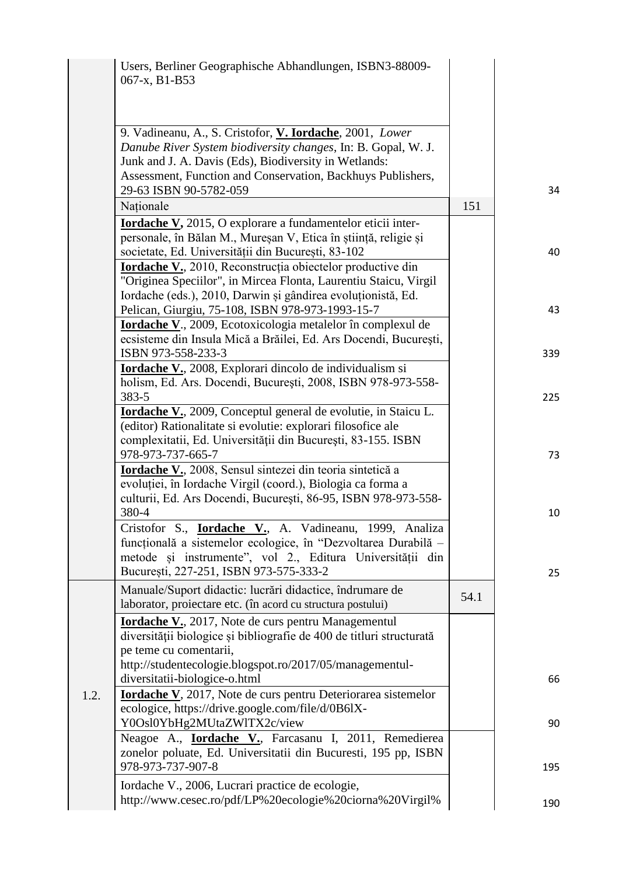| Users, Berliner Geographische Abhandlungen, ISBN 3-88009-<br>067-x, B1-B53                                                                                                                                                                                                  |      |     |
|-----------------------------------------------------------------------------------------------------------------------------------------------------------------------------------------------------------------------------------------------------------------------------|------|-----|
| 9. Vadineanu, A., S. Cristofor, V. Iordache, 2001, Lower<br>Danube River System biodiversity changes, In: B. Gopal, W. J.<br>Junk and J. A. Davis (Eds), Biodiversity in Wetlands:<br>Assessment, Function and Conservation, Backhuys Publishers,<br>29-63 ISBN 90-5782-059 |      | 34  |
| Naționale                                                                                                                                                                                                                                                                   | 151  |     |
| <b>Iordache V,</b> 2015, O explorare a fundamentelor eticii inter-<br>personale, în Bălan M., Mureșan V, Etica în știință, religie și<br>societate, Ed. Universității din București, 83-102                                                                                 |      | 40  |
| <b>Iordache V.</b> , 2010, Reconstrucția obiectelor productive din<br>"Originea Speciilor", in Mircea Flonta, Laurentiu Staicu, Virgil<br>Iordache (eds.), 2010, Darwin și gândirea evoluționistă, Ed.<br>Pelican, Giurgiu, 75-108, ISBN 978-973-1993-15-7                  |      | 43  |
| <b>Iordache V.</b> , 2009, Ecotoxicologia metalelor în complexul de<br>ecsisteme din Insula Mică a Brăilei, Ed. Ars Docendi, București,<br>ISBN 973-558-233-3                                                                                                               |      | 339 |
| <b>Iordache V.</b> , 2008, Explorari dincolo de individualism si<br>holism, Ed. Ars. Docendi, București, 2008, ISBN 978-973-558-<br>383-5                                                                                                                                   |      | 225 |
| <b>Iordache V.</b> , 2009, Conceptul general de evolutie, in Staicu L.<br>(editor) Rationalitate si evolutie: explorari filosofice ale<br>complexitatii, Ed. Universității din București, 83-155. ISBN<br>978-973-737-665-7                                                 |      | 73  |
| Iordache V., 2008, Sensul sintezei din teoria sintetică a<br>evoluției, în Iordache Virgil (coord.), Biologia ca forma a<br>culturii, Ed. Ars Docendi, București, 86-95, ISBN 978-973-558-                                                                                  |      |     |
| 380-4<br>Cristofor S., <b><u>Iordache V.</u></b> , A. Vadineanu, 1999, Analiza<br>funcțională a sistemelor ecologice, în "Dezvoltarea Durabilă -<br>metode și instrumente", vol 2., Editura Universității din                                                               |      | 10  |
| București, 227-251, ISBN 973-575-333-2<br>Manuale/Suport didactic: lucrări didactice, îndrumare de<br>laborator, proiectare etc. (în acord cu structura postului)                                                                                                           | 54.1 | 25  |
| <b>Iordache V.</b> , 2017, Note de curs pentru Managementul<br>diversității biologice și bibliografie de 400 de titluri structurată<br>pe teme cu comentarii,                                                                                                               |      |     |
| http://studentecologie.blogspot.ro/2017/05/managementul-<br>diversitatii-biologice-o.html                                                                                                                                                                                   |      | 66  |
| <b>Iordache V</b> , 2017, Note de curs pentru Deteriorarea sistemelor<br>1.2.<br>ecologice, https://drive.google.com/file/d/0B6lX-<br>Y0Osl0YbHg2MUtaZWlTX2c/view                                                                                                           |      | 90  |
| Neagoe A., <b>Iordache V.</b> , Farcasanu I, 2011, Remedierea<br>zonelor poluate, Ed. Universitatii din Bucuresti, 195 pp, ISBN<br>978-973-737-907-8                                                                                                                        |      | 195 |
| Iordache V., 2006, Lucrari practice de ecologie,<br>http://www.cesec.ro/pdf/LP%20ecologie%20ciorna%20Virgil%                                                                                                                                                                |      | 190 |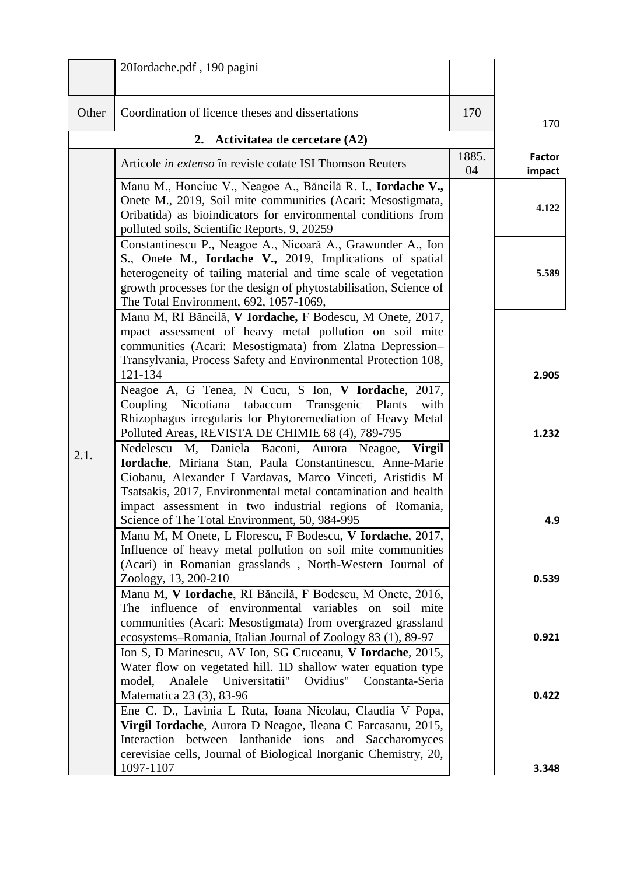|       | 20Iordache.pdf, 190 pagini                                                                                                                                                                                                                                                                                                                                                       |             |                         |
|-------|----------------------------------------------------------------------------------------------------------------------------------------------------------------------------------------------------------------------------------------------------------------------------------------------------------------------------------------------------------------------------------|-------------|-------------------------|
| Other | Coordination of licence theses and dissertations                                                                                                                                                                                                                                                                                                                                 | 170         | 170                     |
|       | 2. Activitatea de cercetare (A2)                                                                                                                                                                                                                                                                                                                                                 |             |                         |
|       | Articole in extenso în reviste cotate ISI Thomson Reuters                                                                                                                                                                                                                                                                                                                        | 1885.<br>04 | <b>Factor</b><br>impact |
|       | Manu M., Honciuc V., Neagoe A., Băncilă R. I., Iordache V.,<br>Onete M., 2019, Soil mite communities (Acari: Mesostigmata,<br>Oribatida) as bioindicators for environmental conditions from<br>polluted soils, Scientific Reports, 9, 20259                                                                                                                                      |             | 4.122                   |
|       | Constantinescu P., Neagoe A., Nicoară A., Grawunder A., Ion<br>S., Onete M., <b>Iordache V.,</b> 2019, Implications of spatial<br>heterogeneity of tailing material and time scale of vegetation<br>growth processes for the design of phytostabilisation, Science of<br>The Total Environment, 692, 1057-1069,                                                                  |             | 5.589                   |
|       | Manu M, RI Băncilă, V Iordache, F Bodescu, M Onete, 2017,<br>mpact assessment of heavy metal pollution on soil mite<br>communities (Acari: Mesostigmata) from Zlatna Depression-<br>Transylvania, Process Safety and Environmental Protection 108,<br>121-134<br>Neagoe A, G Tenea, N Cucu, S Ion, V Iordache, 2017,<br>Coupling Nicotiana tabaccum<br>Transgenic Plants<br>with |             | 2.905                   |
| 2.1.  | Rhizophagus irregularis for Phytoremediation of Heavy Metal<br>Polluted Areas, REVISTA DE CHIMIE 68 (4), 789-795<br>Nedelescu M, Daniela Baconi, Aurora Neagoe,<br><b>Virgil</b>                                                                                                                                                                                                 |             | 1.232                   |
|       | Iordache, Miriana Stan, Paula Constantinescu, Anne-Marie<br>Ciobanu, Alexander I Vardavas, Marco Vinceti, Aristidis M<br>Tsatsakis, 2017, Environmental metal contamination and health<br>impact assessment in two industrial regions of Romania,<br>Science of The Total Environment, 50, 984-995                                                                               |             | 4.9                     |
|       | Manu M, M Onete, L Florescu, F Bodescu, V Iordache, 2017,<br>Influence of heavy metal pollution on soil mite communities<br>(Acari) in Romanian grasslands, North-Western Journal of                                                                                                                                                                                             |             |                         |
|       | Zoology, 13, 200-210<br>Manu M, V Iordache, RI Băncilă, F Bodescu, M Onete, 2016,<br>The influence of environmental variables on soil mite<br>communities (Acari: Mesostigmata) from overgrazed grassland                                                                                                                                                                        |             | 0.539                   |
|       | ecosystems–Romania, Italian Journal of Zoology 83 (1), 89-97<br>Ion S, D Marinescu, AV Ion, SG Cruceanu, V Iordache, 2015,<br>Water flow on vegetated hill. 1D shallow water equation type<br>model, Analele Universitatii" Ovidius" Constanta-Seria                                                                                                                             |             | 0.921                   |
|       | Matematica 23 (3), 83-96<br>Ene C. D., Lavinia L Ruta, Ioana Nicolau, Claudia V Popa,<br>Virgil Iordache, Aurora D Neagoe, Ileana C Farcasanu, 2015,<br>Interaction<br>between lanthanide ions and Saccharomyces<br>cerevisiae cells, Journal of Biological Inorganic Chemistry, 20,                                                                                             |             | 0.422                   |
|       | 1097-1107                                                                                                                                                                                                                                                                                                                                                                        |             | 3.348                   |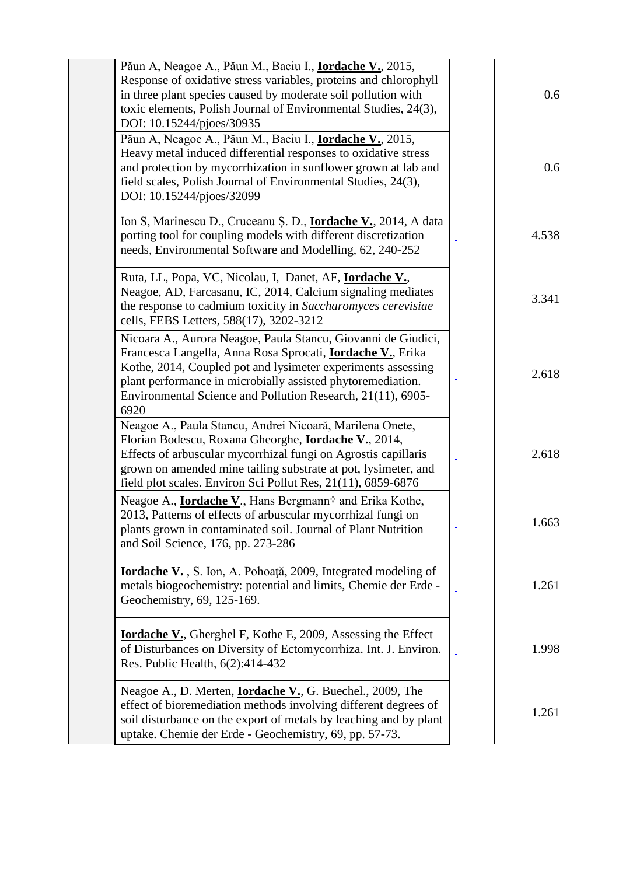| Păun A, Neagoe A., Păun M., Baciu I., <b>Iordache V.</b> , 2015,<br>Response of oxidative stress variables, proteins and chlorophyll<br>in three plant species caused by moderate soil pollution with<br>toxic elements, Polish Journal of Environmental Studies, 24(3),<br>DOI: 10.15244/pjoes/30935                                     | 0.6   |
|-------------------------------------------------------------------------------------------------------------------------------------------------------------------------------------------------------------------------------------------------------------------------------------------------------------------------------------------|-------|
| Păun A, Neagoe A., Păun M., Baciu I., <b>Iordache V.</b> , 2015,<br>Heavy metal induced differential responses to oxidative stress<br>and protection by mycorrhization in sunflower grown at lab and<br>field scales, Polish Journal of Environmental Studies, 24(3),<br>DOI: 10.15244/pjoes/32099                                        | 0.6   |
| Ion S, Marinescu D., Cruceanu Ș. D., <b>Iordache V.</b> , 2014, A data<br>porting tool for coupling models with different discretization<br>needs, Environmental Software and Modelling, 62, 240-252                                                                                                                                      | 4.538 |
| Ruta, LL, Popa, VC, Nicolau, I, Danet, AF, <b>Iordache V.</b> ,<br>Neagoe, AD, Farcasanu, IC, 2014, Calcium signaling mediates<br>the response to cadmium toxicity in Saccharomyces cerevisiae<br>cells, FEBS Letters, 588(17), 3202-3212                                                                                                 | 3.341 |
| Nicoara A., Aurora Neagoe, Paula Stancu, Giovanni de Giudici,<br>Francesca Langella, Anna Rosa Sprocati, <b>Iordache V.</b> , Erika<br>Kothe, 2014, Coupled pot and lysimeter experiments assessing<br>plant performance in microbially assisted phytoremediation.<br>Environmental Science and Pollution Research, 21(11), 6905-<br>6920 | 2.618 |
| Neagoe A., Paula Stancu, Andrei Nicoară, Marilena Onete,<br>Florian Bodescu, Roxana Gheorghe, Iordache V., 2014,<br>Effects of arbuscular mycorrhizal fungi on Agrostis capillaris<br>grown on amended mine tailing substrate at pot, lysimeter, and<br>field plot scales. Environ Sci Pollut Res, 21(11), 6859-6876                      | 2.618 |
| Neagoe A., <b>Iordache V.</b> , Hans Bergmann <sup>†</sup> and Erika Kothe,<br>2013, Patterns of effects of arbuscular mycorrhizal fungi on<br>plants grown in contaminated soil. Journal of Plant Nutrition<br>and Soil Science, 176, pp. 273-286                                                                                        | 1.663 |
| Iordache V., S. Ion, A. Pohoață, 2009, Integrated modeling of<br>metals biogeochemistry: potential and limits, Chemie der Erde -<br>Geochemistry, 69, 125-169.                                                                                                                                                                            | 1.261 |
| <b>Iordache V.</b> , Gherghel F, Kothe E, 2009, Assessing the Effect<br>of Disturbances on Diversity of Ectomycorrhiza. Int. J. Environ.<br>Res. Public Health, 6(2):414-432                                                                                                                                                              | 1.998 |
| Neagoe A., D. Merten, <b>Iordache V.</b> , G. Buechel., 2009, The<br>effect of bioremediation methods involving different degrees of<br>soil disturbance on the export of metals by leaching and by plant<br>uptake. Chemie der Erde - Geochemistry, 69, pp. 57-73.                                                                       | 1.261 |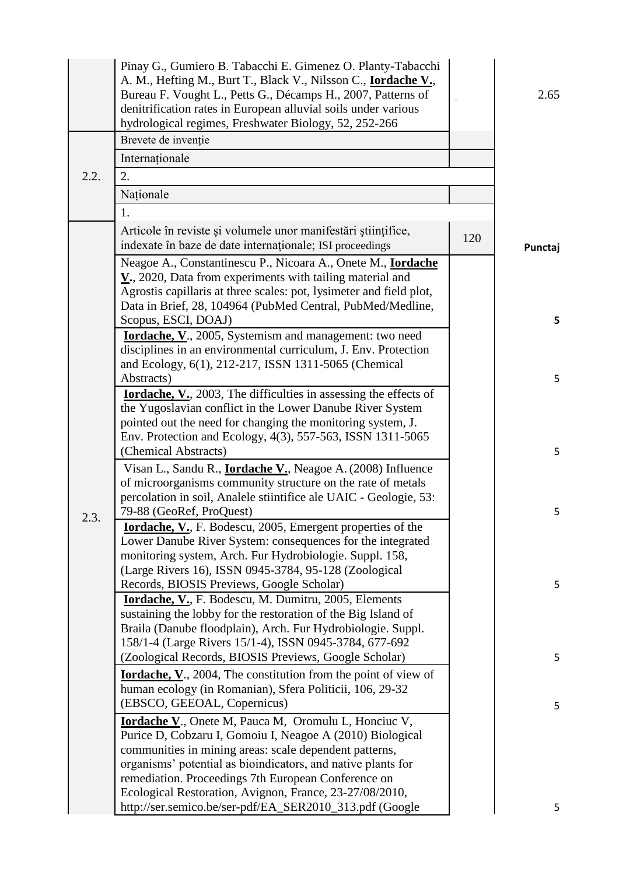|      | Pinay G., Gumiero B. Tabacchi E. Gimenez O. Planty-Tabacchi<br>A. M., Hefting M., Burt T., Black V., Nilsson C., <b>Iordache V.</b> ,<br>Bureau F. Vought L., Petts G., Décamps H., 2007, Patterns of<br>denitrification rates in European alluvial soils under various<br>hydrological regimes, Freshwater Biology, 52, 252-266 |     | 2.65    |
|------|----------------------------------------------------------------------------------------------------------------------------------------------------------------------------------------------------------------------------------------------------------------------------------------------------------------------------------|-----|---------|
|      | Brevete de invenție                                                                                                                                                                                                                                                                                                              |     |         |
|      | Internaționale                                                                                                                                                                                                                                                                                                                   |     |         |
| 2.2. | 2.                                                                                                                                                                                                                                                                                                                               |     |         |
|      | Naționale                                                                                                                                                                                                                                                                                                                        |     |         |
|      | 1.                                                                                                                                                                                                                                                                                                                               |     |         |
|      | Articole în reviste și volumele unor manifestări științifice,<br>indexate în baze de date internaționale; ISI proceedings                                                                                                                                                                                                        | 120 | Punctaj |
|      | Neagoe A., Constantinescu P., Nicoara A., Onete M., <b>Iordache</b><br>$Y_{.}$ , 2020, Data from experiments with tailing material and<br>Agrostis capillaris at three scales: pot, lysimeter and field plot,<br>Data in Brief, 28, 104964 (PubMed Central, PubMed/Medline,                                                      |     |         |
|      | Scopus, ESCI, DOAJ)<br><b>Iordache, V.</b> , 2005, Systemism and management: two need<br>disciplines in an environmental curriculum, J. Env. Protection<br>and Ecology, 6(1), 212-217, ISSN 1311-5065 (Chemical                                                                                                                  |     | 5       |
|      | Abstracts)<br><b>Iordache, V.</b> , 2003, The difficulties in assessing the effects of                                                                                                                                                                                                                                           |     | 5       |
|      | the Yugoslavian conflict in the Lower Danube River System<br>pointed out the need for changing the monitoring system, J.<br>Env. Protection and Ecology, 4(3), 557-563, ISSN 1311-5065                                                                                                                                           |     |         |
|      | (Chemical Abstracts)                                                                                                                                                                                                                                                                                                             |     | 5       |
|      | Visan L., Sandu R., <b>Iordache V.</b> , Neagoe A. (2008) Influence<br>of microorganisms community structure on the rate of metals                                                                                                                                                                                               |     |         |
|      | percolation in soil, Analele stiintifice ale UAIC - Geologie, 53:                                                                                                                                                                                                                                                                |     |         |
|      | 79-88 (GeoRef, ProQuest)                                                                                                                                                                                                                                                                                                         |     | 5       |
| 2.3. | <b>Iordache, V., F. Bodescu, 2005, Emergent properties of the</b><br>Lower Danube River System: consequences for the integrated<br>monitoring system, Arch. Fur Hydrobiologie. Suppl. 158,                                                                                                                                       |     |         |
|      | (Large Rivers 16), ISSN 0945-3784, 95-128 (Zoological<br>Records, BIOSIS Previews, Google Scholar)                                                                                                                                                                                                                               |     | 5       |
|      | <b>Iordache, V., F. Bodescu, M. Dumitru, 2005, Elements</b><br>sustaining the lobby for the restoration of the Big Island of<br>Braila (Danube floodplain), Arch. Fur Hydrobiologie. Suppl.<br>158/1-4 (Large Rivers 15/1-4), ISSN 0945-3784, 677-692                                                                            |     |         |
|      | (Zoological Records, BIOSIS Previews, Google Scholar)                                                                                                                                                                                                                                                                            |     | 5       |
|      | <b><u>Iordache, V</u></b> ., 2004, The constitution from the point of view of<br>human ecology (in Romanian), Sfera Politicii, 106, 29-32                                                                                                                                                                                        |     |         |
|      | (EBSCO, GEEOAL, Copernicus)<br><b><u>Iordache V.</u></b> , Onete M, Pauca M, Oromulu L, Honciuc V,<br>Purice D, Cobzaru I, Gomoiu I, Neagoe A (2010) Biological                                                                                                                                                                  |     | 5       |
|      | communities in mining areas: scale dependent patterns,<br>organisms' potential as bioindicators, and native plants for<br>remediation. Proceedings 7th European Conference on<br>Ecological Restoration, Avignon, France, 23-27/08/2010,                                                                                         |     |         |
|      | http://ser.semico.be/ser-pdf/EA_SER2010_313.pdf (Google                                                                                                                                                                                                                                                                          |     | 5       |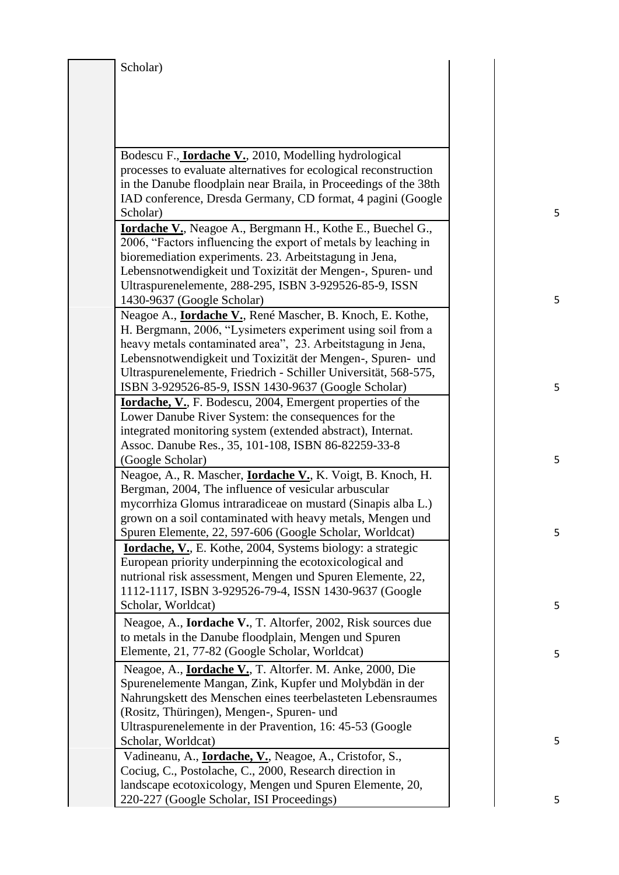| Scholar) |                                                                                                                                                                                                                                                                                                                                  |  |
|----------|----------------------------------------------------------------------------------------------------------------------------------------------------------------------------------------------------------------------------------------------------------------------------------------------------------------------------------|--|
|          |                                                                                                                                                                                                                                                                                                                                  |  |
|          |                                                                                                                                                                                                                                                                                                                                  |  |
|          | Bodescu F., <b>Iordache V.</b> , 2010, Modelling hydrological<br>processes to evaluate alternatives for ecological reconstruction                                                                                                                                                                                                |  |
| Scholar) | in the Danube floodplain near Braila, in Proceedings of the 38th<br>IAD conference, Dresda Germany, CD format, 4 pagini (Google                                                                                                                                                                                                  |  |
|          | <b>Iordache V.</b> , Neagoe A., Bergmann H., Kothe E., Buechel G.,<br>2006, "Factors influencing the export of metals by leaching in<br>bioremediation experiments. 23. Arbeitstagung in Jena,                                                                                                                                   |  |
|          | Lebensnotwendigkeit und Toxizität der Mengen-, Spuren- und<br>Ultraspurenelemente, 288-295, ISBN 3-929526-85-9, ISSN<br>1430-9637 (Google Scholar)                                                                                                                                                                               |  |
|          | Neagoe A., <b>Iordache V.</b> , René Mascher, B. Knoch, E. Kothe,<br>H. Bergmann, 2006, "Lysimeters experiment using soil from a<br>heavy metals contaminated area", 23. Arbeitstagung in Jena,<br>Lebensnotwendigkeit und Toxizität der Mengen-, Spuren- und<br>Ultraspurenelemente, Friedrich - Schiller Universität, 568-575, |  |
|          | ISBN 3-929526-85-9, ISSN 1430-9637 (Google Scholar)<br><b>Iordache, V., F. Bodescu, 2004, Emergent properties of the</b>                                                                                                                                                                                                         |  |
|          | Lower Danube River System: the consequences for the<br>integrated monitoring system (extended abstract), Internat.                                                                                                                                                                                                               |  |
|          | Assoc. Danube Res., 35, 101-108, ISBN 86-82259-33-8<br>(Google Scholar)                                                                                                                                                                                                                                                          |  |
|          | Neagoe, A., R. Mascher, <i>Iordache V.</i> , K. Voigt, B. Knoch, H.<br>Bergman, 2004, The influence of vesicular arbuscular<br>mycorrhiza Glomus intraradiceae on mustard (Sinapis alba L.)                                                                                                                                      |  |
|          | grown on a soil contaminated with heavy metals, Mengen und<br>Spuren Elemente, 22, 597-606 (Google Scholar, Worldcat)<br><b>Iordache, V.</b> , E. Kothe, 2004, Systems biology: a strategic                                                                                                                                      |  |
|          | European priority underpinning the ecotoxicological and<br>nutrional risk assessment, Mengen und Spuren Elemente, 22,<br>1112-1117, ISBN 3-929526-79-4, ISSN 1430-9637 (Google                                                                                                                                                   |  |
|          | Scholar, Worldcat)<br>Neagoe, A., Iordache V., T. Altorfer, 2002, Risk sources due<br>to metals in the Danube floodplain, Mengen und Spuren                                                                                                                                                                                      |  |
|          | Elemente, 21, 77-82 (Google Scholar, Worldcat)<br>Neagoe, A., <i>Iordache V.</i> , T. Altorfer. M. Anke, 2000, Die                                                                                                                                                                                                               |  |
|          | Spurenelemente Mangan, Zink, Kupfer und Molybdän in der<br>Nahrungskett des Menschen eines teerbelasteten Lebensraumes<br>(Rositz, Thüringen), Mengen-, Spuren- und                                                                                                                                                              |  |
|          | Ultraspurenelemente in der Pravention, 16: 45-53 (Google<br>Scholar, Worldcat)                                                                                                                                                                                                                                                   |  |
|          | Vadineanu, A., <b>Iordache, V.</b> , Neagoe, A., Cristofor, S.,<br>Cociug, C., Postolache, C., 2000, Research direction in<br>landscape ecotoxicology, Mengen und Spuren Elemente, 20,                                                                                                                                           |  |
|          | 220-227 (Google Scholar, ISI Proceedings)                                                                                                                                                                                                                                                                                        |  |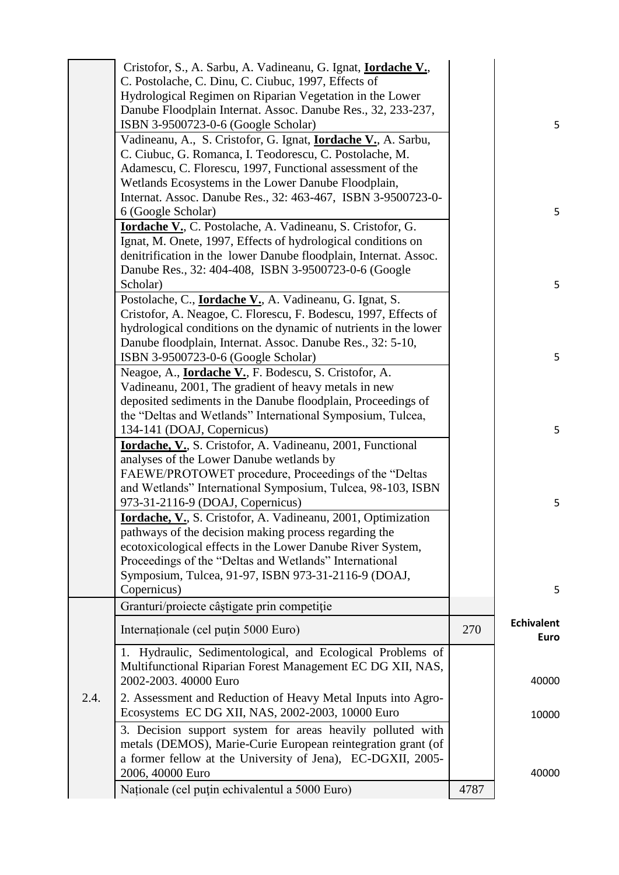|      | Cristofor, S., A. Sarbu, A. Vadineanu, G. Ignat, <b>Iordache V.</b> ,                                                              |      |                                  |
|------|------------------------------------------------------------------------------------------------------------------------------------|------|----------------------------------|
|      | C. Postolache, C. Dinu, C. Ciubuc, 1997, Effects of                                                                                |      |                                  |
|      | Hydrological Regimen on Riparian Vegetation in the Lower<br>Danube Floodplain Internat. Assoc. Danube Res., 32, 233-237,           |      |                                  |
|      | ISBN 3-9500723-0-6 (Google Scholar)                                                                                                |      | 5                                |
|      | Vadineanu, A., S. Cristofor, G. Ignat, <b>Iordache V.</b> , A. Sarbu,                                                              |      |                                  |
|      | C. Ciubuc, G. Romanca, I. Teodorescu, C. Postolache, M.                                                                            |      |                                  |
|      | Adamescu, C. Florescu, 1997, Functional assessment of the<br>Wetlands Ecosystems in the Lower Danube Floodplain,                   |      |                                  |
|      | Internat. Assoc. Danube Res., 32: 463-467, ISBN 3-9500723-0-                                                                       |      |                                  |
|      | 6 (Google Scholar)                                                                                                                 |      | 5                                |
|      | Iordache V., C. Postolache, A. Vadineanu, S. Cristofor, G.                                                                         |      |                                  |
|      | Ignat, M. Onete, 1997, Effects of hydrological conditions on                                                                       |      |                                  |
|      | denitrification in the lower Danube floodplain, Internat. Assoc.                                                                   |      |                                  |
|      | Danube Res., 32: 404-408, ISBN 3-9500723-0-6 (Google                                                                               |      |                                  |
|      | Scholar)                                                                                                                           |      | 5                                |
|      | Postolache, C., <i>Iordache V.</i> , A. Vadineanu, G. Ignat, S.<br>Cristofor, A. Neagoe, C. Florescu, F. Bodescu, 1997, Effects of |      |                                  |
|      | hydrological conditions on the dynamic of nutrients in the lower                                                                   |      |                                  |
|      | Danube floodplain, Internat. Assoc. Danube Res., 32: 5-10,                                                                         |      |                                  |
|      | ISBN 3-9500723-0-6 (Google Scholar)                                                                                                |      | 5                                |
|      | Neagoe, A., <i>Iordache V.</i> , F. Bodescu, S. Cristofor, A.                                                                      |      |                                  |
|      | Vadineanu, 2001, The gradient of heavy metals in new                                                                               |      |                                  |
|      | deposited sediments in the Danube floodplain, Proceedings of                                                                       |      |                                  |
|      | the "Deltas and Wetlands" International Symposium, Tulcea,                                                                         |      |                                  |
|      | 134-141 (DOAJ, Copernicus)<br>Iordache, V., S. Cristofor, A. Vadineanu, 2001, Functional                                           |      | 5                                |
|      | analyses of the Lower Danube wetlands by                                                                                           |      |                                  |
|      | FAEWE/PROTOWET procedure, Proceedings of the "Deltas                                                                               |      |                                  |
|      | and Wetlands" International Symposium, Tulcea, 98-103, ISBN                                                                        |      |                                  |
|      | 973-31-2116-9 (DOAJ, Copernicus)                                                                                                   |      | 5                                |
|      | <b>Iordache, V.</b> , S. Cristofor, A. Vadineanu, 2001, Optimization                                                               |      |                                  |
|      | pathways of the decision making process regarding the                                                                              |      |                                  |
|      | ecotoxicological effects in the Lower Danube River System,<br>Proceedings of the "Deltas and Wetlands" International               |      |                                  |
|      | Symposium, Tulcea, 91-97, ISBN 973-31-2116-9 (DOAJ,                                                                                |      |                                  |
|      | Copernicus)                                                                                                                        |      | 5                                |
|      | Granturi/proiecte câștigate prin competiție                                                                                        |      |                                  |
|      | Internationale (cel puțin 5000 Euro)                                                                                               | 270  | <b>Echivalent</b><br><b>Euro</b> |
|      | 1. Hydraulic, Sedimentological, and Ecological Problems of                                                                         |      |                                  |
|      | Multifunctional Riparian Forest Management EC DG XII, NAS,                                                                         |      |                                  |
|      | 2002-2003. 40000 Euro                                                                                                              |      | 40000                            |
| 2.4. | 2. Assessment and Reduction of Heavy Metal Inputs into Agro-<br>Ecosystems EC DG XII, NAS, 2002-2003, 10000 Euro                   |      | 10000                            |
|      | 3. Decision support system for areas heavily polluted with                                                                         |      |                                  |
|      | metals (DEMOS), Marie-Curie European reintegration grant (of                                                                       |      |                                  |
|      | a former fellow at the University of Jena), EC-DGXII, 2005-                                                                        |      |                                  |
|      | 2006, 40000 Euro                                                                                                                   |      | 40000                            |
|      | Naționale (cel puțin echivalentul a 5000 Euro)                                                                                     | 4787 |                                  |